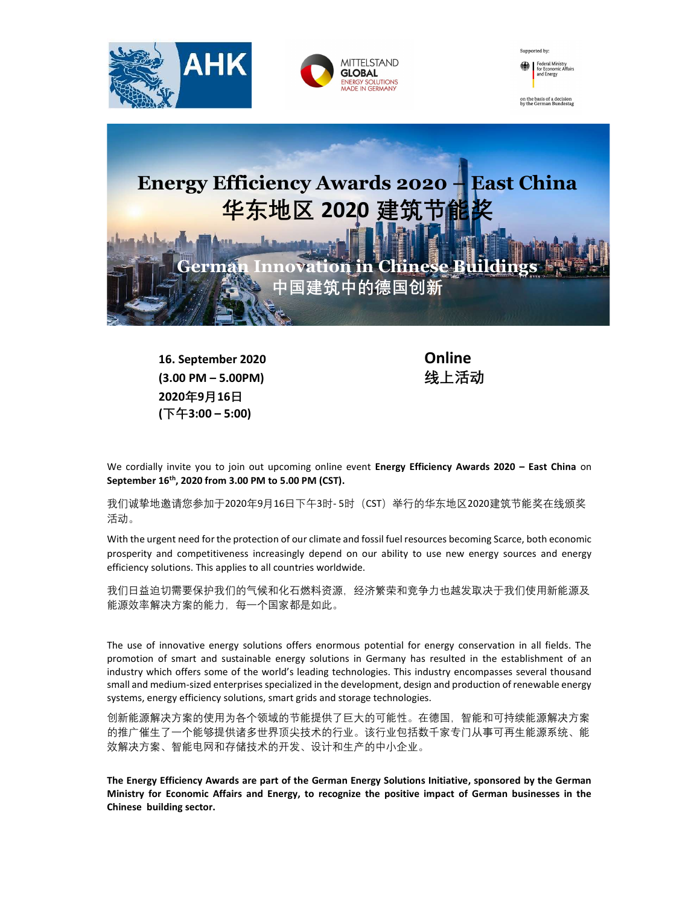





## Energy Efficiency Awards 2020 – East China 华东地区 2020 建筑节能

建筑中的德国创新

German Innovation in Chines

16. September 2020 Online (3.00 PM – 5.00PM) 线上活动 2020年9月16日 (下午3:00 – 5:00)

ľ

We cordially invite you to join out upcoming online event Energy Efficiency Awards 2020 – East China on September 16th, 2020 from 3.00 PM to 5.00 PM (CST).

我们诚挚地邀请您参加于2020年9月16日下午3时- 5时 (CST) 举行的华东地区2020建筑节能奖在线颁奖 活动。

With the urgent need for the protection of our climate and fossil fuel resources becoming Scarce, both economic prosperity and competitiveness increasingly depend on our ability to use new energy sources and energy efficiency solutions. This applies to all countries worldwide.

我们日益迫切需要保护我们的气候和化石燃料资源,经济繁荣和竞争力也越发取决于我们使用新能源及 能源效率解决方案的能力,每一个国家都是如此。

The use of innovative energy solutions offers enormous potential for energy conservation in all fields. The promotion of smart and sustainable energy solutions in Germany has resulted in the establishment of an industry which offers some of the world's leading technologies. This industry encompasses several thousand small and medium-sized enterprises specialized in the development, design and production of renewable energy systems, energy efficiency solutions, smart grids and storage technologies.

创新能源解决方案的使用为各个领域的节能提供了巨大的可能性。在德国,智能和可持续能源解决方案 的推广催生了一个能够提供诸多世界顶尖技术的行业。该行业包括数千家专门从事可再生能源系统、能 效解决方案、智能电网和存储技术的开发、设计和生产的中小企业。

The Energy Efficiency Awards are part of the German Energy Solutions Initiative, sponsored by the German Ministry for Economic Affairs and Energy, to recognize the positive impact of German businesses in the Chinese building sector.